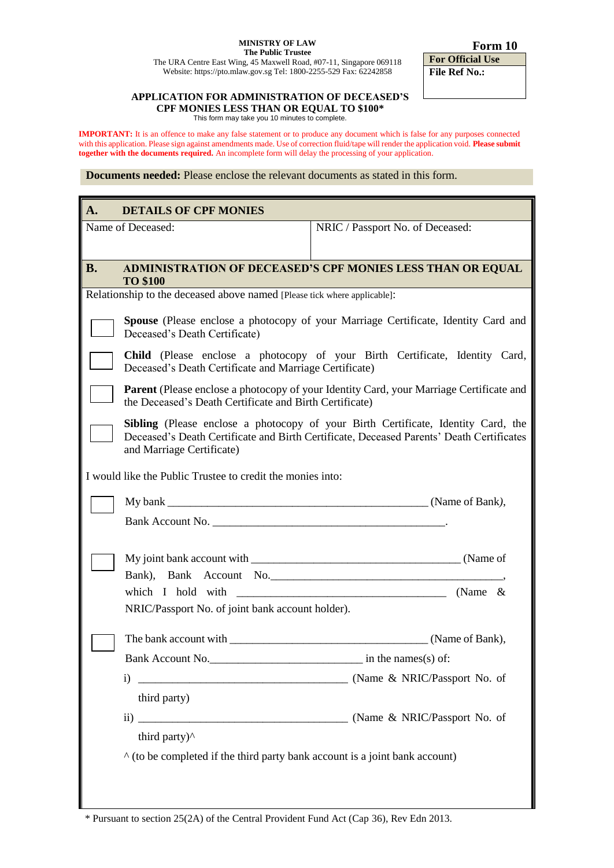## **MINISTRY OF LAW The Public Trustee**

 **Form 10**

The URA Centre East Wing, 45 Maxwell Road, #07-11, Singapore 069118 Website: https://pto.mlaw.gov.sg Tel: 1800-2255-529 Fax: 62242858

**For Official Use File Ref No.:**

## **APPLICATION FOR ADMINISTRATION OF DECEASED'S CPF MONIES LESS THAN OR EQUAL TO \$100\***

This form may take you 10 minutes to complete.

**IMPORTANT:** It is an offence to make any false statement or to produce any document which is false for any purposes connected with this application. Please sign against amendments made. Use of correction fluid/tape will render the application void. **Please submit together with the documents required.** An incomplete form will delay the processing of your application.

**Documents needed:** Please enclose the relevant documents as stated in this form.

| A.                                                                                 | <b>DETAILS OF CPF MONIES</b>                                                                                                                                                                               |                                                           |  |
|------------------------------------------------------------------------------------|------------------------------------------------------------------------------------------------------------------------------------------------------------------------------------------------------------|-----------------------------------------------------------|--|
| Name of Deceased:                                                                  |                                                                                                                                                                                                            | NRIC / Passport No. of Deceased:                          |  |
|                                                                                    |                                                                                                                                                                                                            |                                                           |  |
| <b>B.</b>                                                                          | <b>ADMINISTRATION OF DECEASED'S CPF MONIES LESS THAN OR EQUAL</b><br><b>TO \$100</b>                                                                                                                       |                                                           |  |
| Relationship to the deceased above named [Please tick where applicable]:           |                                                                                                                                                                                                            |                                                           |  |
|                                                                                    | <b>Spouse</b> (Please enclose a photocopy of your Marriage Certificate, Identity Card and<br>Deceased's Death Certificate)                                                                                 |                                                           |  |
|                                                                                    | Child (Please enclose a photocopy of your Birth Certificate, Identity Card,<br>Deceased's Death Certificate and Marriage Certificate)                                                                      |                                                           |  |
|                                                                                    | <b>Parent</b> (Please enclose a photocopy of your Identity Card, your Marriage Certificate and<br>the Deceased's Death Certificate and Birth Certificate)                                                  |                                                           |  |
|                                                                                    | Sibling (Please enclose a photocopy of your Birth Certificate, Identity Card, the<br>Deceased's Death Certificate and Birth Certificate, Deceased Parents' Death Certificates<br>and Marriage Certificate) |                                                           |  |
| I would like the Public Trustee to credit the monies into:                         |                                                                                                                                                                                                            |                                                           |  |
|                                                                                    |                                                                                                                                                                                                            |                                                           |  |
|                                                                                    |                                                                                                                                                                                                            |                                                           |  |
|                                                                                    |                                                                                                                                                                                                            |                                                           |  |
|                                                                                    |                                                                                                                                                                                                            | Bank), Bank Account No.                                   |  |
|                                                                                    |                                                                                                                                                                                                            | which I hold with $\frac{1}{2}$ (Name &                   |  |
|                                                                                    | NRIC/Passport No. of joint bank account holder).                                                                                                                                                           |                                                           |  |
|                                                                                    |                                                                                                                                                                                                            |                                                           |  |
|                                                                                    | Bank Account No.                                                                                                                                                                                           | $\frac{1}{\sqrt{1-\frac{1}{c}}}\$ in the names(s) of:     |  |
|                                                                                    | i)                                                                                                                                                                                                         | [Name & NRIC/Passport No. of (Name & NRIC/Passport No. of |  |
|                                                                                    | third party)                                                                                                                                                                                               |                                                           |  |
|                                                                                    |                                                                                                                                                                                                            |                                                           |  |
|                                                                                    | third party) <sup>^</sup>                                                                                                                                                                                  |                                                           |  |
| $\wedge$ (to be completed if the third party bank account is a joint bank account) |                                                                                                                                                                                                            |                                                           |  |
|                                                                                    |                                                                                                                                                                                                            |                                                           |  |

\* Pursuant to section 25(2A) of the Central Provident Fund Act (Cap 36), Rev Edn 2013.